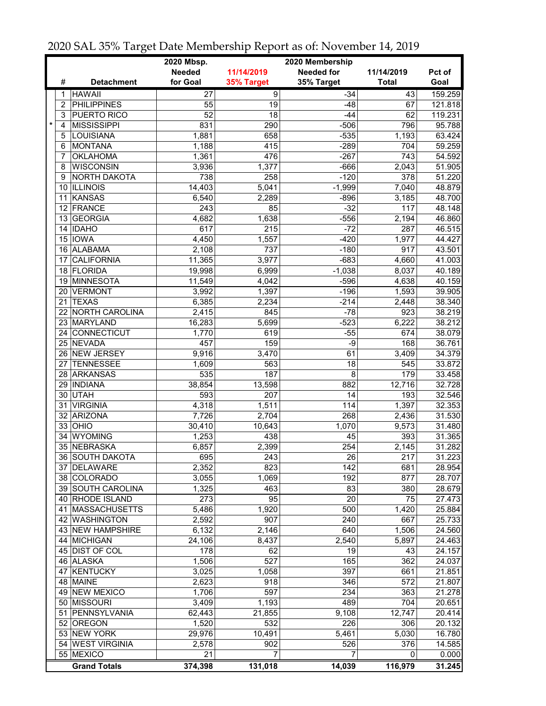|         |                |                     | 2020 Mbsp.<br>2020 Membership |                  |                   |              |         |
|---------|----------------|---------------------|-------------------------------|------------------|-------------------|--------------|---------|
|         |                |                     | <b>Needed</b>                 | 11/14/2019       | <b>Needed for</b> | 11/14/2019   | Pct of  |
|         | #              | <b>Detachment</b>   | for Goal                      | 35% Target       | 35% Target        | <b>Total</b> | Goal    |
|         | 1              | <b>HAWAII</b>       | 27                            | $\overline{9}$   | $-34$             | 43           | 159.259 |
|         | $\overline{c}$ | <b>PHILIPPINES</b>  | $\overline{55}$               | $\overline{19}$  | $-48$             | 67           | 121.818 |
|         | 3              | PUERTO RICO         | $\overline{52}$               | 18               | $-44$             | 62           | 119.231 |
| $\star$ | 4              | <b>MISSISSIPPI</b>  | 831                           | 290              | $-506$            | 796          | 95.788  |
|         | 5              | <b>LOUISIANA</b>    | 1,881                         | 658              | $-535$            | 1,193        | 63.424  |
|         |                |                     |                               | $\overline{415}$ | $-289$            | 704          |         |
|         | 6              | <b>MONTANA</b>      | 1,188                         |                  |                   |              | 59.259  |
|         | 7              | <b>OKLAHOMA</b>     | 1,361                         | 476              | $-267$            | 743          | 54.592  |
|         | 8              | <b>WISCONSIN</b>    | 3,936                         | 1,377            | $-666$            | 2,043        | 51.905  |
|         | 9              | NORTH DAKOTA        | 738                           | 258              | $-120$            | 378          | 51.220  |
|         |                | 10 ILLINOIS         | 14,403                        | 5,041            | $-1,999$          | 7,040        | 48.879  |
|         | 11             | KANSAS              | 6,540                         | 2,289            | $-896$            | 3,185        | 48.700  |
|         |                | 12 FRANCE           | 243                           | 85               | $-32$             | 117          | 48.148  |
|         | 13             | <b>GEORGIA</b>      | 4,682                         | 1,638            | $-556$            | 2,194        | 46.860  |
|         |                | 14 IDAHO            | 617                           | 215              | $-72$             | 287          | 46.515  |
|         |                | 15 IOWA             | 4,450                         | 1,557            | $-420$            | 1,977        | 44.427  |
|         |                | 16 ALABAMA          | 2,108                         | 737              | $-180$            | 917          | 43.501  |
|         | 17             | <b>CALIFORNIA</b>   | 11,365                        | 3,977            | $-683$            | 4,660        | 41.003  |
|         |                | 18 FLORIDA          | 19,998                        | 6,999            | $-1,038$          | 8,037        | 40.189  |
|         | 19             | <b>MINNESOTA</b>    | 11,549                        | 4,042            | $-596$            | 4,638        | 40.159  |
|         | 20 I           | <b>VERMONT</b>      | 3,992                         | 1,397            | $-196$            | 1,593        | 39.905  |
|         | 21             | <b>TEXAS</b>        | 6,385                         | 2,234            | $-214$            | 2,448        | 38.340  |
|         | 22             | NORTH CAROLINA      | 2,415                         | 845              | $-78$             | 923          | 38.219  |
|         |                | 23 MARYLAND         | 16,283                        | 5,699            | $-523$            | 6,222        | 38.212  |
|         |                | 24 CONNECTICUT      | 1,770                         | 619              | $-55$             | 674          | 38.079  |
|         |                | 25 NEVADA           | 457                           | 159              | $-9$              | 168          | 36.761  |
|         |                | 26 NEW JERSEY       | 9,916                         | 3,470            | 61                | 3,409        | 34.379  |
|         | 27             | <b>TENNESSEE</b>    | 1,609                         | $\overline{563}$ | 18                | 545          | 33.872  |
|         |                | 28 ARKANSAS         | 535                           | 187              | 8                 | 179          | 33.458  |
|         |                | <b>INDIANA</b>      | 38,854                        | 13,598           | 882               | 12,716       | 32.728  |
|         | 29             |                     |                               |                  |                   |              |         |
|         |                | 30 UTAH             | 593                           | 207              | 14                | 193          | 32.546  |
|         | 31             | <b>VIRGINIA</b>     | 4,318                         | 1,511            | 114               | 1,397        | 32.353  |
|         | 32             | ARIZONA             | 7,726                         | 2,704            | 268               | 2,436        | 31.530  |
|         |                | $33$ OHIO           | 30,410                        | 10,643           | 1,070             | 9,573        | 31.480  |
|         | 34             | <b>WYOMING</b>      | 1,253                         | 438              | 45                | 393          | 31.365  |
|         |                | 35 NEBRASKA         | 6,857                         | 2,399            | 254               | 2,145        | 31.282  |
|         |                | 36   SOUTH DAKOTA   | 695                           | 243              | 26                | 217          | 31.223  |
|         |                | 37 DELAWARE         | 2,352                         | 823              | 142               | 681          | 28.954  |
|         |                | 38 COLORADO         | 3,055                         | 1,069            | 192               | 877          | 28.707  |
|         |                | 39 SOUTH CAROLINA   | 1,325                         | 463              | 83                | 380          | 28.679  |
|         |                | 40 RHODE ISLAND     | 273                           | 95               | $\overline{20}$   | 75           | 27.473  |
|         |                | 41 MASSACHUSETTS    | 5,486                         | 1,920            | 500               | 1,420        | 25.884  |
|         |                | 42 WASHINGTON       | 2,592                         | 907              | 240               | 667          | 25.733  |
|         |                | 43 NEW HAMPSHIRE    | 6,132                         | 2,146            | 640               | 1,506        | 24.560  |
|         |                | 44 MICHIGAN         | 24,106                        | 8,437            | 2,540             | 5,897        | 24.463  |
|         |                | 45 DIST OF COL      | 178                           | 62               | 19                | 43           | 24.157  |
|         |                | 46 ALASKA           | 1,506                         | 527              | 165               | 362          | 24.037  |
|         | 47             | <b>KENTUCKY</b>     | 3,025                         | 1,058            | 397               | 661          | 21.851  |
|         |                | 48 MAINE            | 2,623                         | 918              | 346               | 572          | 21.807  |
|         |                | 49 NEW MEXICO       | 1,706                         | 597              | 234               | 363          | 21.278  |
|         |                | 50 MISSOURI         | 3,409                         | 1,193            | 489               | 704          | 20.651  |
|         |                | 51 PENNSYLVANIA     | 62,443                        | 21,855           | 9,108             | 12,747       | 20.414  |
|         |                | 52 OREGON           | 1,520                         | 532              | 226               | 306          | 20.132  |
|         |                | 53 NEW YORK         | 29,976                        | 10,491           | 5,461             | 5,030        | 16.780  |
|         |                | 54 WEST VIRGINIA    | 2,578                         | 902              | 526               | 376          | 14.585  |
|         |                | 55 MEXICO           | 21                            | 7                | 7                 | 0            | 0.000   |
|         |                |                     |                               |                  |                   |              |         |
|         |                | <b>Grand Totals</b> | 374,398                       | 131,018          | 14,039            | 116,979      | 31.245  |

2020 SAL 35% Target Date Membership Report as of: November 14, 2019